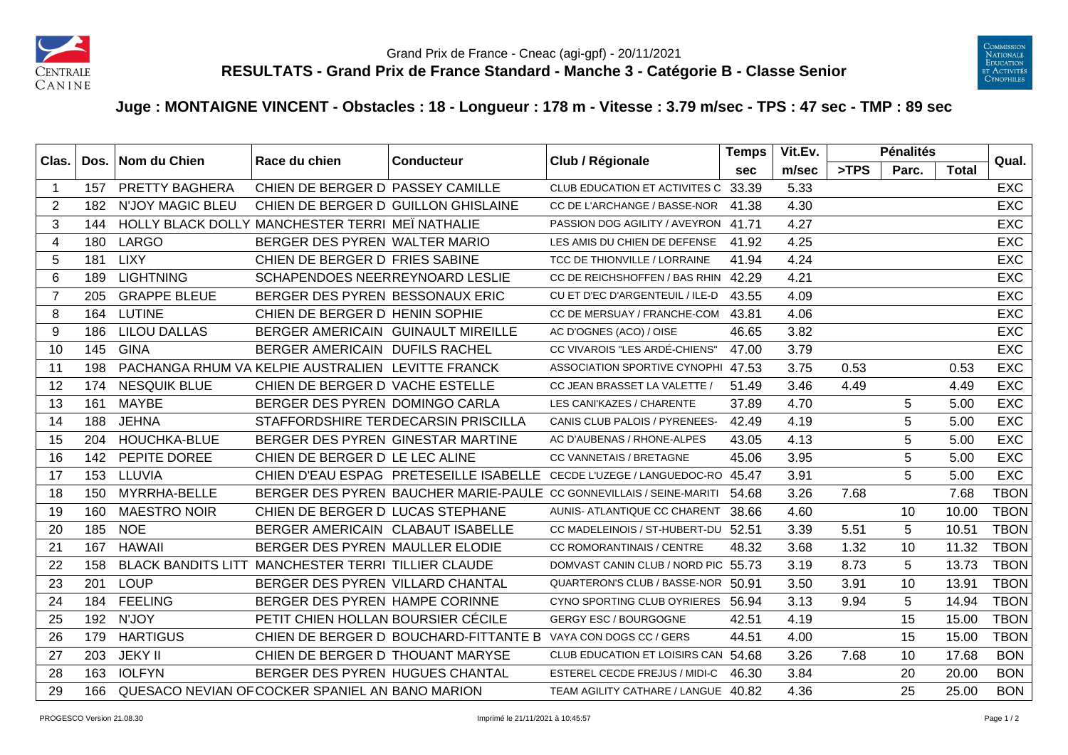



## **Juge : MONTAIGNE VINCENT - Obstacles : 18 - Longueur : 178 m - Vitesse : 3.79 m/sec - TPS : 47 sec - TMP : 89 sec**

| Clas. |     | Dos.   Nom du Chien     | Race du chien<br><b>Conducteur</b>                  |                                                               | Club / Régionale                                                    | <b>Temps</b> | Vit.Ev. |      | <b>Pénalités</b> |       | Qual.       |
|-------|-----|-------------------------|-----------------------------------------------------|---------------------------------------------------------------|---------------------------------------------------------------------|--------------|---------|------|------------------|-------|-------------|
|       |     |                         |                                                     |                                                               |                                                                     | <b>sec</b>   | m/sec   | >TPS | Parc.            | Total |             |
| -1    | 157 | PRETTY BAGHERA          | CHIEN DE BERGER D PASSEY CAMILLE                    |                                                               | CLUB EDUCATION ET ACTIVITES C                                       | 33.39        | 5.33    |      |                  |       | <b>EXC</b>  |
| 2     | 182 | <b>N'JOY MAGIC BLEU</b> | CHIEN DE BERGER D GUILLON GHISLAINE                 |                                                               | CC DE L'ARCHANGE / BASSE-NOR                                        | 41.38        | 4.30    |      |                  |       | <b>EXC</b>  |
| 3     | 144 |                         | HOLLY BLACK DOLLY MANCHESTER TERRI MEÏ NATHALIE     |                                                               | PASSION DOG AGILITY / AVEYRON                                       | 41.71        | 4.27    |      |                  |       | <b>EXC</b>  |
| 4     | 180 | LARGO                   | BERGER DES PYREN WALTER MARIO                       |                                                               | LES AMIS DU CHIEN DE DEFENSE                                        | 41.92        | 4.25    |      |                  |       | <b>EXC</b>  |
| 5     | 181 | <b>LIXY</b>             | CHIEN DE BERGER D FRIES SABINE                      |                                                               | TCC DE THIONVILLE / LORRAINE                                        | 41.94        | 4.24    |      |                  |       | <b>EXC</b>  |
| 6     | 189 | <b>LIGHTNING</b>        | SCHAPENDOES NEERREYNOARD LESLIE                     |                                                               | CC DE REICHSHOFFEN / BAS RHIN                                       | 42.29        | 4.21    |      |                  |       | <b>EXC</b>  |
| -7    | 205 | <b>GRAPPE BLEUE</b>     | BERGER DES PYREN BESSONAUX ERIC                     |                                                               | CU ET D'EC D'ARGENTEUIL / ILE-D                                     | 43.55        | 4.09    |      |                  |       | <b>EXC</b>  |
| 8     | 164 | <b>LUTINE</b>           | CHIEN DE BERGER D HENIN SOPHIE                      |                                                               | CC DE MERSUAY / FRANCHE-COM                                         | 43.81        | 4.06    |      |                  |       | <b>EXC</b>  |
| 9     | 186 | <b>LILOU DALLAS</b>     | BERGER AMERICAIN GUINAULT MIREILLE                  |                                                               | AC D'OGNES (ACO) / OISE                                             | 46.65        | 3.82    |      |                  |       | <b>EXC</b>  |
| 10    | 145 | <b>GINA</b>             | BERGER AMERICAIN DUFILS RACHEL                      |                                                               | CC VIVAROIS "LES ARDÉ-CHIENS"                                       | 47.00        | 3.79    |      |                  |       | <b>EXC</b>  |
| 11    | 198 |                         | PACHANGA RHUM VA KELPIE AUSTRALIEN LEVITTE FRANCK   |                                                               | ASSOCIATION SPORTIVE CYNOPHI 47.53                                  |              | 3.75    | 0.53 |                  | 0.53  | EXC         |
| 12    | 174 | <b>NESQUIK BLUE</b>     | CHIEN DE BERGER D VACHE ESTELLE                     |                                                               | CC JEAN BRASSET LA VALETTE /                                        | 51.49        | 3.46    | 4.49 |                  | 4.49  | <b>EXC</b>  |
| 13    | 161 | <b>MAYBE</b>            | BERGER DES PYREN DOMINGO CARLA                      |                                                               | LES CANI'KAZES / CHARENTE                                           | 37.89        | 4.70    |      | 5                | 5.00  | <b>EXC</b>  |
| 14    | 188 | <b>JEHNA</b>            |                                                     | STAFFORDSHIRE TERDECARSIN PRISCILLA                           | CANIS CLUB PALOIS / PYRENEES-                                       | 42.49        | 4.19    |      | 5                | 5.00  | <b>EXC</b>  |
| 15    | 204 | HOUCHKA-BLUE            | BERGER DES PYREN GINESTAR MARTINE                   |                                                               | AC D'AUBENAS / RHONE-ALPES                                          | 43.05        | 4.13    |      | 5                | 5.00  | EXC         |
| 16    | 142 | PEPITE DOREE            | CHIEN DE BERGER D LE LEC ALINE                      |                                                               | <b>CC VANNETAIS / BRETAGNE</b>                                      | 45.06        | 3.95    |      | 5                | 5.00  | <b>EXC</b>  |
| 17    | 153 | LLUVIA                  |                                                     | CHIEN D'EAU ESPAG PRETESEILLE ISABELLE                        | CECDE L'UZEGE / LANGUEDOC-RO 45.47                                  |              | 3.91    |      | 5                | 5.00  | <b>EXC</b>  |
| 18    | 150 | MYRRHA-BELLE            |                                                     |                                                               | BERGER DES PYREN BAUCHER MARIE-PAULE CC GONNEVILLAIS / SEINE-MARITI | 54.68        | 3.26    | 7.68 |                  | 7.68  | <b>TBON</b> |
| 19    | 160 | <b>MAESTRO NOIR</b>     | CHIEN DE BERGER D LUCAS STEPHANE                    |                                                               | AUNIS- ATLANTIQUE CC CHARENT                                        | 38.66        | 4.60    |      | 10               | 10.00 | <b>TBON</b> |
| 20    | 185 | <b>NOE</b>              | BERGER AMERICAIN CLABAUT ISABELLE                   |                                                               | CC MADELEINOIS / ST-HUBERT-DU                                       | 52.51        | 3.39    | 5.51 | 5                | 10.51 | <b>TBON</b> |
| 21    | 167 | <b>HAWAII</b>           | BERGER DES PYREN MAULLER ELODIE                     |                                                               | <b>CC ROMORANTINAIS / CENTRE</b>                                    | 48.32        | 3.68    | 1.32 | 10               | 11.32 | <b>TBON</b> |
| 22    | 158 |                         | BLACK BANDITS LITT MANCHESTER TERRI TILLIER CLAUDE  |                                                               | DOMVAST CANIN CLUB / NORD PIC 55.73                                 |              | 3.19    | 8.73 | 5                | 13.73 | <b>TBON</b> |
| 23    | 201 | <b>LOUP</b>             | BERGER DES PYREN VILLARD CHANTAL                    |                                                               | QUARTERON'S CLUB / BASSE-NOR 50.91                                  |              | 3.50    | 3.91 | 10               | 13.91 | <b>TBON</b> |
| 24    | 184 | <b>FEELING</b>          | BERGER DES PYREN HAMPE CORINNE                      |                                                               | CYNO SPORTING CLUB OYRIERES 56.94                                   |              | 3.13    | 9.94 | 5                | 14.94 | <b>TBON</b> |
| 25    | 192 | N'JOY                   | PETIT CHIEN HOLLAN BOURSIER CÉCILE                  |                                                               | <b>GERGY ESC / BOURGOGNE</b>                                        | 42.51        | 4.19    |      | 15               | 15.00 | <b>TBON</b> |
| 26    | 179 | <b>HARTIGUS</b>         |                                                     | CHIEN DE BERGER D BOUCHARD-FITTANTE B VAYA CON DOGS CC / GERS |                                                                     | 44.51        | 4.00    |      | 15               | 15.00 | <b>TBON</b> |
| 27    | 203 | <b>JEKY II</b>          | CHIEN DE BERGER D THOUANT MARYSE                    |                                                               | CLUB EDUCATION ET LOISIRS CAN 54.68                                 |              | 3.26    | 7.68 | 10               | 17.68 | <b>BON</b>  |
| 28    | 163 | <b>IOLFYN</b>           | BERGER DES PYREN HUGUES CHANTAL                     |                                                               | ESTEREL CECDE FREJUS / MIDI-C                                       | 46.30        | 3.84    |      | 20               | 20.00 | <b>BON</b>  |
| 29    |     |                         | 166 QUESACO NEVIAN OF COCKER SPANIEL AN BANO MARION |                                                               | TEAM AGILITY CATHARE / LANGUE 40.82                                 |              | 4.36    |      | 25               | 25.00 | <b>BON</b>  |